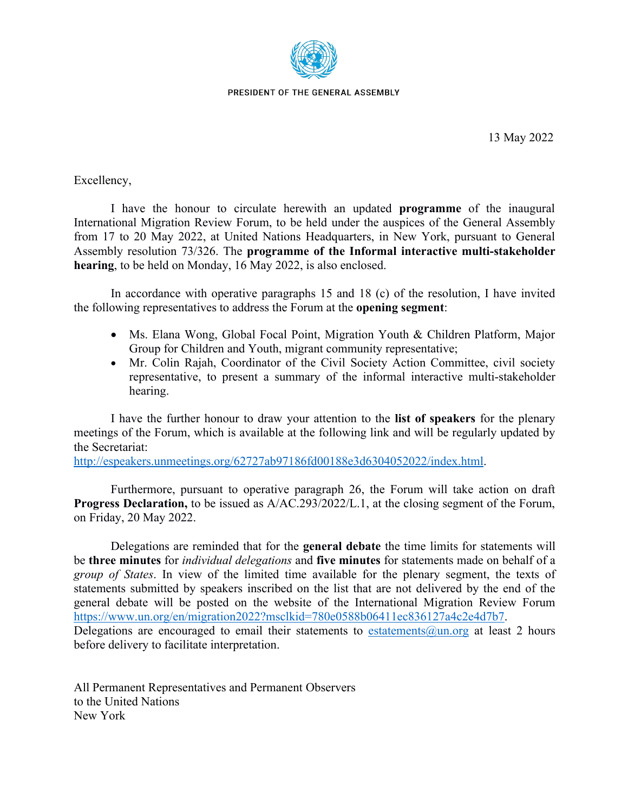

PRESIDENT OF THE GENERAL ASSEMBLY

Excellency,

I have the honour to circulate herewith an updated **programme** of the inaugural International Migration Review Forum, to be held under the auspices of the General Assembly from 17 to 20 May 2022, at United Nations Headquarters, in New York, pursuant to General Assembly resolution 73/326. The **programme of the Informal interactive multi-stakeholder hearing**, to be held on Monday, 16 May 2022, is also enclosed.

In accordance with operative paragraphs 15 and 18 (c) of the resolution, I have invited the following representatives to address the Forum at the **opening segment**:

- Ms. Elana Wong, Global Focal Point, Migration Youth & Children Platform, Major Group for Children and Youth, migrant community representative;
- Mr. Colin Rajah, Coordinator of the Civil Society Action Committee, civil society representative, to present a summary of the informal interactive multi-stakeholder hearing.

I have the further honour to draw your attention to the **listof speakers** for the plenary meetings of the Forum, which is available at the following link and will be regularly updated by the Secretariat:

[http://espeakers.unmeetings.org/62727ab97186fd00188e3d6304052022/index.html.](http://espeakers.unmeetings.org/62727ab97186fd00188e3d6304052022/index.html)

Furthermore, pursuant to operative paragraph 26, the Forum will take action on draft **Progress Declaration,** to be issued as A/AC.293/2022/L.1, at the closing segment of the Forum, on Friday, 20 May 2022.

Delegations are reminded that for the **general debate** the time limits for statements will be **three minutes** for *individual delegations* and **five minutes** for statements made on behalf of a *group of States*. In view of the limited time available for the plenary segment, the texts of statements submitted by speakers inscribed on the list that are not delivered by the end of the general debate will be posted on the website of the International Migration Review Forum <https://www.un.org/en/migration2022?msclkid=780e0588b06411ec836127a4c2e4d7b7>. Delegations are encouraged to email their statements to estatements  $\omega_{\text{un.org}}$  at least 2 hours before delivery to facilitate interpretation.

All Permanent Representatives and Permanent Observers to the United Nations New York